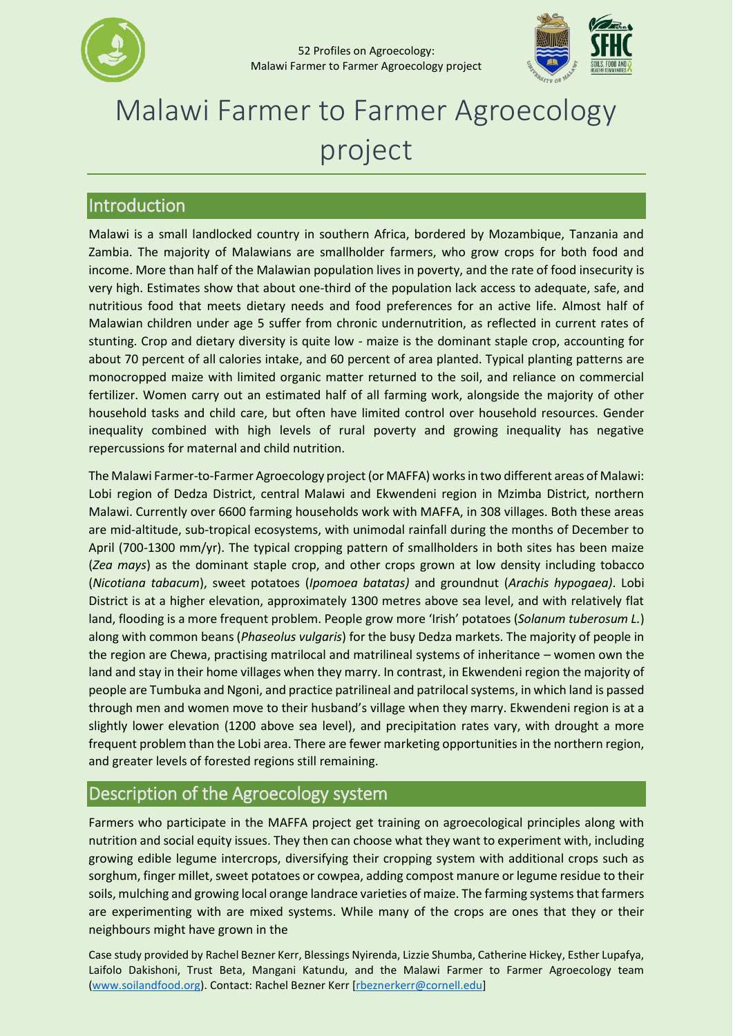



# Malawi Farmer to Farmer Agroecology project

### Introduction

Malawi is a small landlocked country in southern Africa, bordered by Mozambique, Tanzania and Zambia. The majority of Malawians are smallholder farmers, who grow crops for both food and income. More than half of the Malawian population lives in poverty, and the rate of food insecurity is very high. Estimates show that about one-third of the population lack access to adequate, safe, and nutritious food that meets dietary needs and food preferences for an active life. Almost half of Malawian children under age 5 suffer from chronic undernutrition, as reflected in current rates of stunting. Crop and dietary diversity is quite low - maize is the dominant staple crop, accounting for about 70 percent of all calories intake, and 60 percent of area planted. Typical planting patterns are monocropped maize with limited organic matter returned to the soil, and reliance on commercial fertilizer. Women carry out an estimated half of all farming work, alongside the majority of other household tasks and child care, but often have limited control over household resources. Gender inequality combined with high levels of rural poverty and growing inequality has negative repercussions for maternal and child nutrition.

The Malawi Farmer-to-Farmer Agroecology project (or MAFFA) works in two different areas of Malawi: Lobi region of Dedza District, central Malawi and Ekwendeni region in Mzimba District, northern Malawi. Currently over 6600 farming households work with MAFFA, in 308 villages. Both these areas are mid-altitude, sub-tropical ecosystems, with unimodal rainfall during the months of December to April (700-1300 mm/yr). The typical cropping pattern of smallholders in both sites has been maize (*Zea mays*) as the dominant staple crop, and other crops grown at low density including tobacco (*Nicotiana tabacum*), sweet potatoes (*Ipomoea batatas)* and groundnut (*Arachis hypogaea)*. Lobi District is at a higher elevation, approximately 1300 metres above sea level, and with relatively flat land, flooding is a more frequent problem. People grow more 'Irish' potatoes (*Solanum tuberosum L.*) along with common beans (*Phaseolus vulgaris*) for the busy Dedza markets. The majority of people in the region are Chewa, practising matrilocal and matrilineal systems of inheritance – women own the land and stay in their home villages when they marry. In contrast, in Ekwendeni region the majority of people are Tumbuka and Ngoni, and practice patrilineal and patrilocal systems, in which land is passed through men and women move to their husband's village when they marry. Ekwendeni region is at a slightly lower elevation (1200 above sea level), and precipitation rates vary, with drought a more frequent problem than the Lobi area. There are fewer marketing opportunities in the northern region, and greater levels of forested regions still remaining.

## Description of the Agroecology system

Farmers who participate in the MAFFA project get training on agroecological principles along with nutrition and social equity issues. They then can choose what they want to experiment with, including growing edible legume intercrops, diversifying their cropping system with additional crops such as sorghum, finger millet, sweet potatoes or cowpea, adding compost manure or legume residue to their soils, mulching and growing local orange landrace varieties of maize. The farming systems that farmers are experimenting with are mixed systems. While many of the crops are ones that they or their neighbours might have grown in the

Case study provided by Rachel Bezner Kerr, Blessings Nyirenda, Lizzie Shumba, Catherine Hickey, Esther Lupafya, Laifolo Dakishoni, Trust Beta, Mangani Katundu, and the Malawi Farmer to Farmer Agroecology team [\(www.soilandfood.org\)](http://www.soilandfood.org/). Contact: Rachel Bezner Kerr [\[rbeznerkerr@cornell.edu\]](mailto:rbeznerkerr@cornell.edu)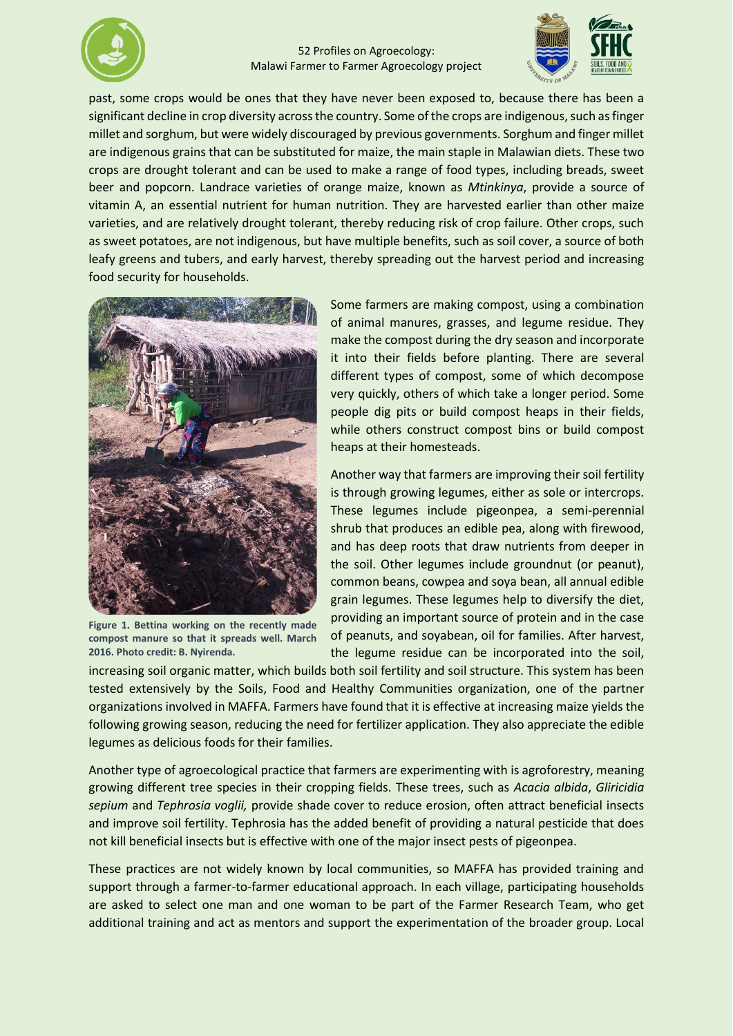



past, some crops would be ones that they have never been exposed to, because there has been a significant decline in crop diversity across the country. Some of the crops are indigenous, such as finger millet and sorghum, but were widely discouraged by previous governments. Sorghum and finger millet are indigenous grains that can be substituted for maize, the main staple in Malawian diets. These two crops are drought tolerant and can be used to make a range of food types, including breads, sweet beer and popcorn. Landrace varieties of orange maize, known as *Mtinkinya*, provide a source of vitamin A, an essential nutrient for human nutrition. They are harvested earlier than other maize varieties, and are relatively drought tolerant, thereby reducing risk of crop failure. Other crops, such as sweet potatoes, are not indigenous, but have multiple benefits, such as soil cover, a source of both leafy greens and tubers, and early harvest, thereby spreading out the harvest period and increasing food security for households.



**Figure 1. Bettina working on the recently made compost manure so that it spreads well. March 2016. Photo credit: B. Nyirenda.**

Some farmers are making compost, using a combination of animal manures, grasses, and legume residue. They make the compost during the dry season and incorporate it into their fields before planting. There are several different types of compost, some of which decompose very quickly, others of which take a longer period. Some people dig pits or build compost heaps in their fields, while others construct compost bins or build compost heaps at their homesteads.

Another way that farmers are improving their soil fertility is through growing legumes, either as sole or intercrops. These legumes include pigeonpea, a semi-perennial shrub that produces an edible pea, along with firewood, and has deep roots that draw nutrients from deeper in the soil. Other legumes include groundnut (or peanut), common beans, cowpea and soya bean, all annual edible grain legumes. These legumes help to diversify the diet, providing an important source of protein and in the case of peanuts, and soyabean, oil for families. After harvest, the legume residue can be incorporated into the soil,

increasing soil organic matter, which builds both soil fertility and soil structure. This system has been tested extensively by the Soils, Food and Healthy Communities organization, one of the partner organizations involved in MAFFA. Farmers have found that it is effective at increasing maize yields the following growing season, reducing the need for fertilizer application. They also appreciate the edible legumes as delicious foods for their families.

Another type of agroecological practice that farmers are experimenting with is agroforestry, meaning growing different tree species in their cropping fields. These trees, such as *Acacia albida*, *Gliricidia sepium* and *Tephrosia voglii,* provide shade cover to reduce erosion, often attract beneficial insects and improve soil fertility. Tephrosia has the added benefit of providing a natural pesticide that does not kill beneficial insects but is effective with one of the major insect pests of pigeonpea.

These practices are not widely known by local communities, so MAFFA has provided training and support through a farmer-to-farmer educational approach. In each village, participating households are asked to select one man and one woman to be part of the Farmer Research Team, who get additional training and act as mentors and support the experimentation of the broader group. Local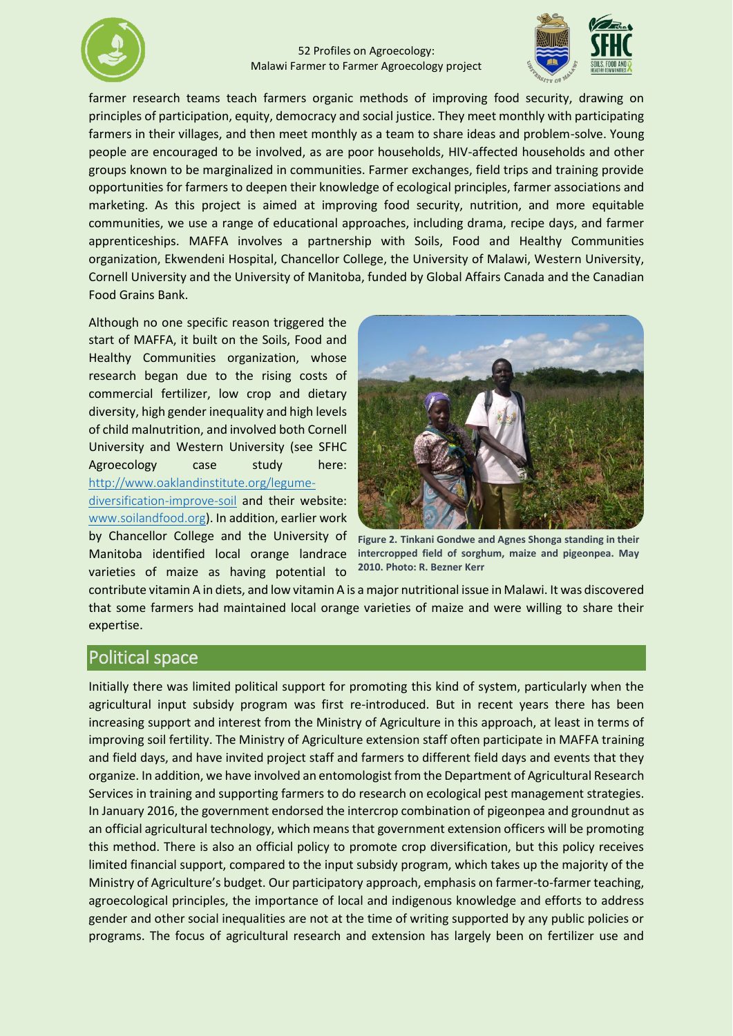



farmer research teams teach farmers organic methods of improving food security, drawing on principles of participation, equity, democracy and social justice. They meet monthly with participating farmers in their villages, and then meet monthly as a team to share ideas and problem-solve. Young people are encouraged to be involved, as are poor households, HIV-affected households and other groups known to be marginalized in communities. Farmer exchanges, field trips and training provide opportunities for farmers to deepen their knowledge of ecological principles, farmer associations and marketing. As this project is aimed at improving food security, nutrition, and more equitable communities, we use a range of educational approaches, including drama, recipe days, and farmer apprenticeships. MAFFA involves a partnership with Soils, Food and Healthy Communities organization, Ekwendeni Hospital, Chancellor College, the University of Malawi, Western University, Cornell University and the University of Manitoba, funded by Global Affairs Canada and the Canadian Food Grains Bank.

Although no one specific reason triggered the start of MAFFA, it built on the Soils, Food and Healthy Communities organization, whose research began due to the rising costs of commercial fertilizer, low crop and dietary diversity, high gender inequality and high levels of child malnutrition, and involved both Cornell University and Western University (see SFHC Agroecology case study here: [http://www.oaklandinstitute.org/legume-](http://www.oaklandinstitute.org/legume-diversification-improve-soil)

[diversification-improve-soil](http://www.oaklandinstitute.org/legume-diversification-improve-soil) and their website: [www.soilandfood.org](http://www.soilandfood.org/)). In addition, earlier work by Chancellor College and the University of Manitoba identified local orange landrace varieties of maize as having potential to



**Figure 2. Tinkani Gondwe and Agnes Shonga standing in their intercropped field of sorghum, maize and pigeonpea. May 2010. Photo: R. Bezner Kerr**

contribute vitamin A in diets, and low vitamin A is a major nutritional issue in Malawi. It was discovered that some farmers had maintained local orange varieties of maize and were willing to share their expertise.

#### Political space

Initially there was limited political support for promoting this kind of system, particularly when the agricultural input subsidy program was first re-introduced. But in recent years there has been increasing support and interest from the Ministry of Agriculture in this approach, at least in terms of improving soil fertility. The Ministry of Agriculture extension staff often participate in MAFFA training and field days, and have invited project staff and farmers to different field days and events that they organize. In addition, we have involved an entomologist from the Department of Agricultural Research Services in training and supporting farmers to do research on ecological pest management strategies. In January 2016, the government endorsed the intercrop combination of pigeonpea and groundnut as an official agricultural technology, which means that government extension officers will be promoting this method. There is also an official policy to promote crop diversification, but this policy receives limited financial support, compared to the input subsidy program, which takes up the majority of the Ministry of Agriculture's budget. Our participatory approach, emphasis on farmer-to-farmer teaching, agroecological principles, the importance of local and indigenous knowledge and efforts to address gender and other social inequalities are not at the time of writing supported by any public policies or programs. The focus of agricultural research and extension has largely been on fertilizer use and